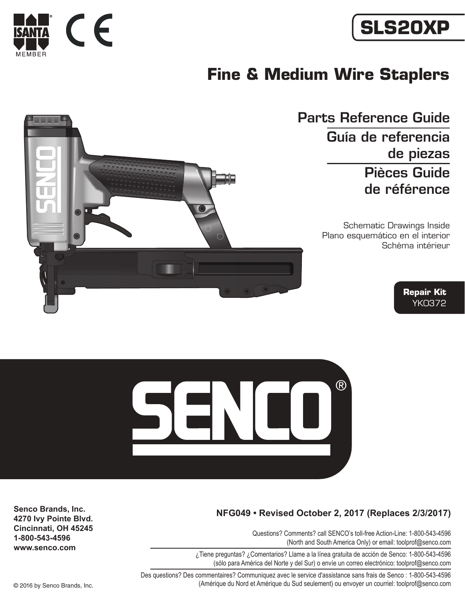

# **SLS20XP**

## **Fine & Medium Wire Staplers**





#### **NFG049 • Revised October 2, 2017 (Replaces 2/3/2017)**

Questions? Comments? call SENCO's toll-free Action-Line: 1-800-543-4596 (North and South America Only) or email: toolprof@senco.com

¿Tiene preguntas? ¿Comentarios? Llame a la línea gratuita de acción de Senco: 1-800-543-4596 (sólo para América del Norte y del Sur) o envíe un correo electrónico: toolprof@senco.com

Des questions? Des commentaires? Communiquez avec le service d'assistance sans frais de Senco : 1-800-543-4596 © 2016 by Senco Brands, Inc. (Amérique du Nord et Amérique du Sud seulement) ou envoyer un courriel: toolprof@senco.com

**Senco Brands, Inc. 4270 Ivy Pointe Blvd. Cincinnati, OH 45245 1-800-543-4596 www.senco.com**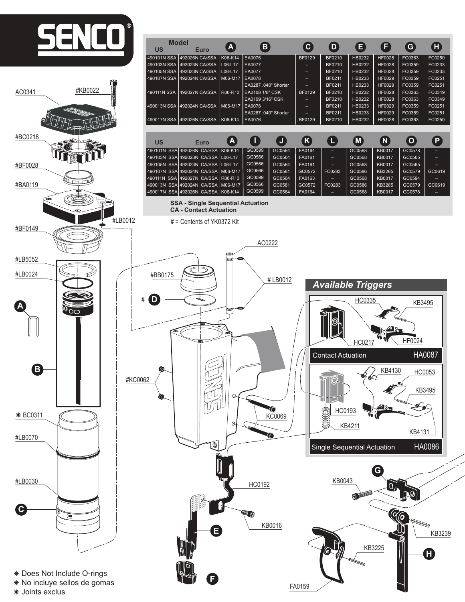

**F**

FA0159

â Does Not Include O-rings

\* No incluye sellos de gomas

\* Joints exclus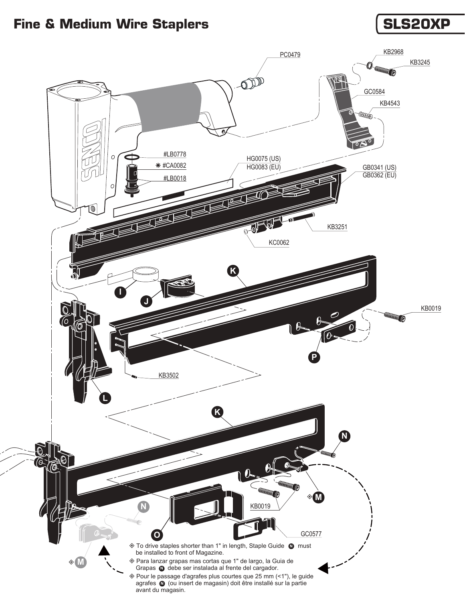### Fine & Medium Wire Staplers **SLS20XP**